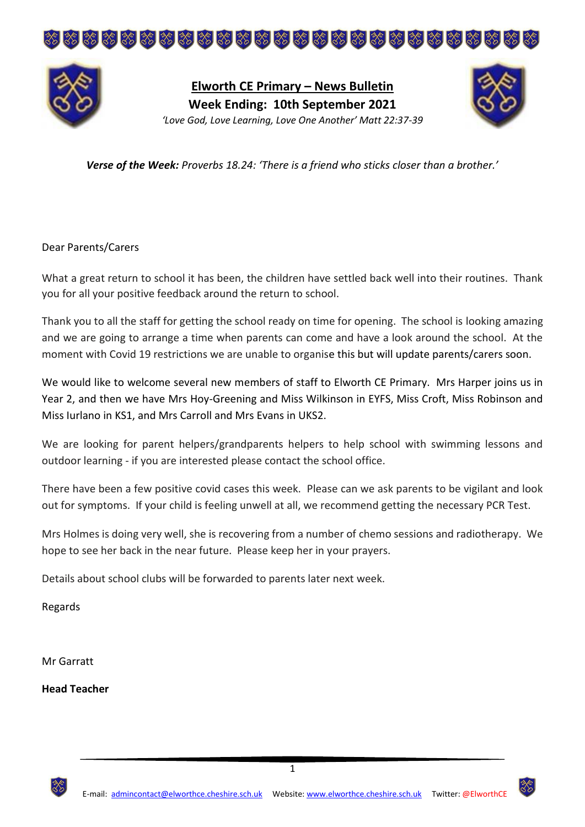



**Elworth CE Primary – News Bulletin Week Ending: 10th September 2021** *'Love God, Love Learning, Love One Another' Matt 22:37-39*



*Verse of the Week: Proverbs 18.24: 'There is a friend who sticks closer than a brother.'*

Dear Parents/Carers

What a great return to school it has been, the children have settled back well into their routines. Thank you for all your positive feedback around the return to school.

Thank you to all the staff for getting the school ready on time for opening. The school is looking amazing and we are going to arrange a time when parents can come and have a look around the school. At the moment with Covid 19 restrictions we are unable to organise this but will update parents/carers soon.

We would like to welcome several new members of staff to Elworth CE Primary. Mrs Harper joins us in Year 2, and then we have Mrs Hoy-Greening and Miss Wilkinson in EYFS, Miss Croft, Miss Robinson and Miss Iurlano in KS1, and Mrs Carroll and Mrs Evans in UKS2.

We are looking for parent helpers/grandparents helpers to help school with swimming lessons and outdoor learning - if you are interested please contact the school office.

There have been a few positive covid cases this week. Please can we ask parents to be vigilant and look out for symptoms. If your child is feeling unwell at all, we recommend getting the necessary PCR Test.

Mrs Holmes is doing very well, she is recovering from a number of chemo sessions and radiotherapy. We hope to see her back in the near future. Please keep her in your prayers.

Details about school clubs will be forwarded to parents later next week.

Regards

Mr Garratt

**Head Teacher**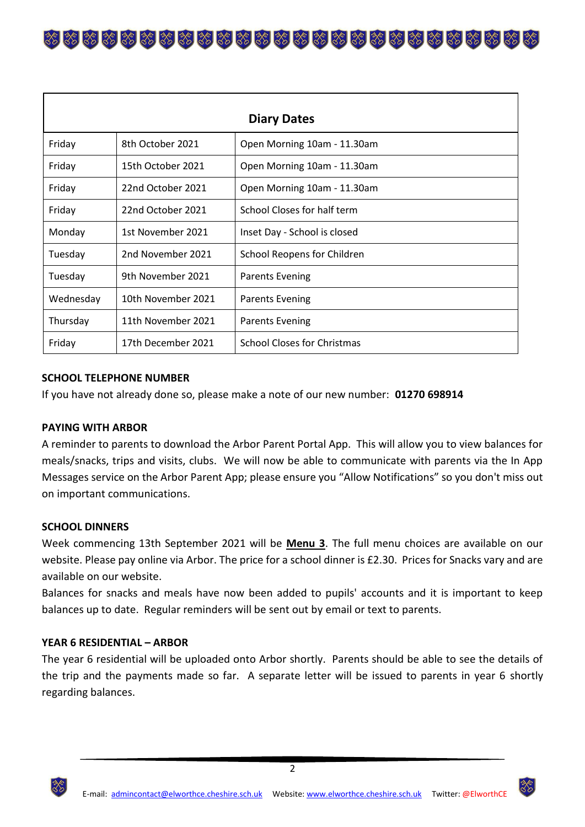\*\*\*\*\*\*\*\*\*\*\*\*\*\*\*\*\*\*\*\*\*\*\*\*\*\*

| <b>Diary Dates</b> |                    |                                    |  |  |  |  |  |
|--------------------|--------------------|------------------------------------|--|--|--|--|--|
| Friday             | 8th October 2021   | Open Morning 10am - 11.30am        |  |  |  |  |  |
| Friday             | 15th October 2021  | Open Morning 10am - 11.30am        |  |  |  |  |  |
| Friday             | 22nd October 2021  | Open Morning 10am - 11.30am        |  |  |  |  |  |
| Friday             | 22nd October 2021  | School Closes for half term        |  |  |  |  |  |
| Monday             | 1st November 2021  | Inset Day - School is closed       |  |  |  |  |  |
| Tuesday            | 2nd November 2021  | School Reopens for Children        |  |  |  |  |  |
| Tuesday            | 9th November 2021  | <b>Parents Evening</b>             |  |  |  |  |  |
| Wednesday          | 10th November 2021 | <b>Parents Evening</b>             |  |  |  |  |  |
| Thursday           | 11th November 2021 | <b>Parents Evening</b>             |  |  |  |  |  |
| Friday             | 17th December 2021 | <b>School Closes for Christmas</b> |  |  |  |  |  |

# **SCHOOL TELEPHONE NUMBER**

If you have not already done so, please make a note of our new number: **01270 698914**

### **PAYING WITH ARBOR**

A reminder to parents to download the Arbor Parent Portal App. This will allow you to view balances for meals/snacks, trips and visits, clubs. We will now be able to communicate with parents via the In App Messages service on the Arbor Parent App; please ensure you "Allow Notifications" so you don't miss out on important communications.

### **SCHOOL DINNERS**

Week commencing 13th September 2021 will be **Menu 3**. The full menu choices are available on our website. Please pay online via Arbor. The price for a school dinner is £2.30. Prices for Snacks vary and are available on our website.

Balances for snacks and meals have now been added to pupils' accounts and it is important to keep balances up to date. Regular reminders will be sent out by email or text to parents.

# **YEAR 6 RESIDENTIAL – ARBOR**

The year 6 residential will be uploaded onto Arbor shortly. Parents should be able to see the details of the trip and the payments made so far. A separate letter will be issued to parents in year 6 shortly regarding balances.

2

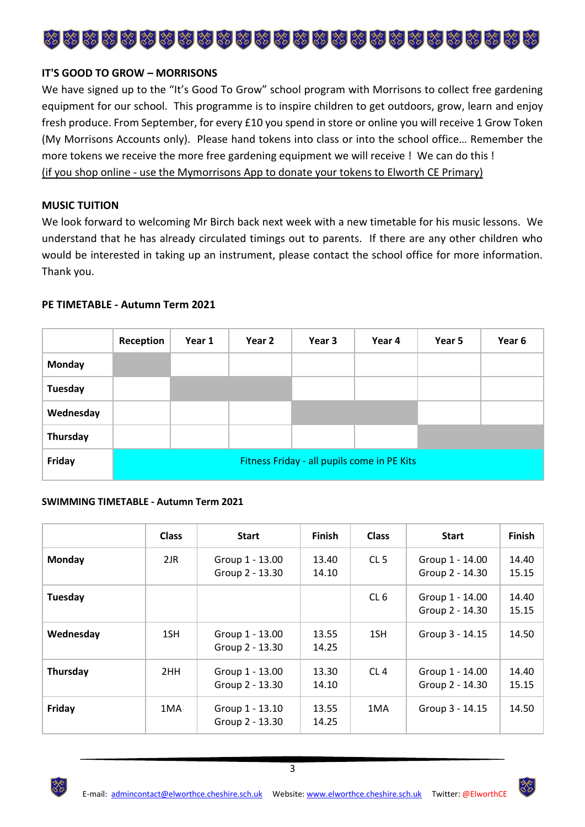

# **IT'S GOOD TO GROW – MORRISONS**

We have signed up to the "It's Good To Grow" school program with Morrisons to collect free gardening equipment for our school. This programme is to inspire children to get outdoors, grow, learn and enjoy fresh produce. From September, for every £10 you spend in store or online you will receive 1 Grow Token (My Morrisons Accounts only). Please hand tokens into class or into the school office… Remember the more tokens we receive the more free gardening equipment we will receive ! We can do this ! (if you shop online - use the Mymorrisons App to donate your tokens to Elworth CE Primary)

### **MUSIC TUITION**

We look forward to welcoming Mr Birch back next week with a new timetable for his music lessons. We understand that he has already circulated timings out to parents. If there are any other children who would be interested in taking up an instrument, please contact the school office for more information. Thank you.

## **PE TIMETABLE - Autumn Term 2021**

|               | Reception                                   | Year 1 | Year 2 | Year 3 | Year 4 | Year 5 | Year 6 |  |
|---------------|---------------------------------------------|--------|--------|--------|--------|--------|--------|--|
| <b>Monday</b> |                                             |        |        |        |        |        |        |  |
| Tuesday       |                                             |        |        |        |        |        |        |  |
| Wednesday     |                                             |        |        |        |        |        |        |  |
| Thursday      |                                             |        |        |        |        |        |        |  |
| Friday        | Fitness Friday - all pupils come in PE Kits |        |        |        |        |        |        |  |

### **SWIMMING TIMETABLE - Autumn Term 2021**

|           | <b>Class</b> | <b>Start</b>                       | <b>Finish</b>  | <b>Class</b>    | <b>Start</b>                       | <b>Finish</b>  |
|-----------|--------------|------------------------------------|----------------|-----------------|------------------------------------|----------------|
| Monday    | 2JR          | Group 1 - 13.00<br>Group 2 - 13.30 | 13.40<br>14.10 | CL <sub>5</sub> | Group 1 - 14.00<br>Group 2 - 14.30 | 14.40<br>15.15 |
| Tuesday   |              |                                    |                | CL <sub>6</sub> | Group 1 - 14.00<br>Group 2 - 14.30 | 14.40<br>15.15 |
| Wednesday | 1SH          | Group 1 - 13.00<br>Group 2 - 13.30 | 13.55<br>14.25 | 1SH             | Group 3 - 14.15                    | 14.50          |
| Thursday  | 2HH          | Group 1 - 13.00<br>Group 2 - 13.30 | 13.30<br>14.10 | CL4             | Group 1 - 14.00<br>Group 2 - 14.30 | 14.40<br>15.15 |
| Friday    | 1MA          | Group 1 - 13.10<br>Group 2 - 13.30 | 13.55<br>14.25 | 1MA             | Group 3 - 14.15                    | 14.50          |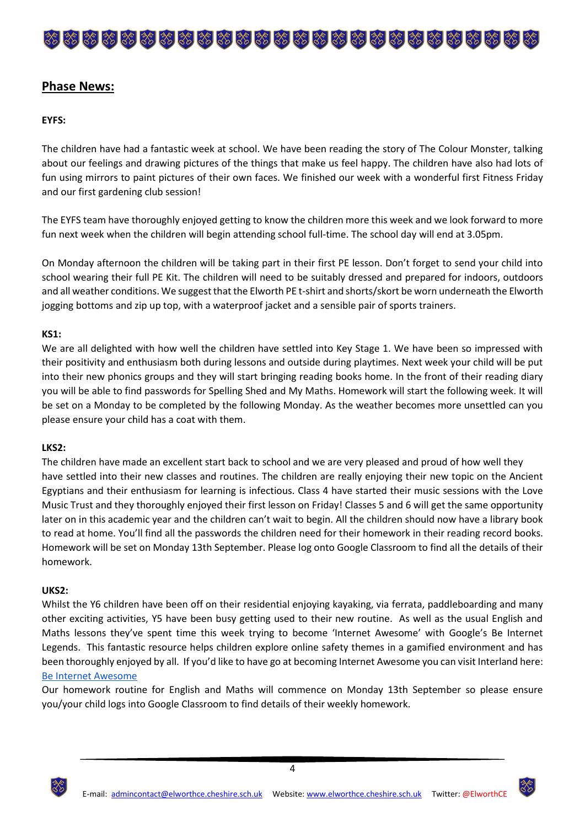# 

# **Phase News:**

# **EYFS:**

The children have had a fantastic week at school. We have been reading the story of The Colour Monster, talking about our feelings and drawing pictures of the things that make us feel happy. The children have also had lots of fun using mirrors to paint pictures of their own faces. We finished our week with a wonderful first Fitness Friday and our first gardening club session!

The EYFS team have thoroughly enjoyed getting to know the children more this week and we look forward to more fun next week when the children will begin attending school full-time. The school day will end at 3.05pm.

On Monday afternoon the children will be taking part in their first PE lesson. Don't forget to send your child into school wearing their full PE Kit. The children will need to be suitably dressed and prepared for indoors, outdoors and all weather conditions. We suggest that the Elworth PE t-shirt and shorts/skort be worn underneath the Elworth jogging bottoms and zip up top, with a waterproof jacket and a sensible pair of sports trainers.

## **KS1:**

We are all delighted with how well the children have settled into Key Stage 1. We have been so impressed with their positivity and enthusiasm both during lessons and outside during playtimes. Next week your child will be put into their new phonics groups and they will start bringing reading books home. In the front of their reading diary you will be able to find passwords for Spelling Shed and My Maths. Homework will start the following week. It will be set on a Monday to be completed by the following Monday. As the weather becomes more unsettled can you please ensure your child has a coat with them.

### **LKS2:**

The children have made an excellent start back to school and we are very pleased and proud of how well they have settled into their new classes and routines. The children are really enjoying their new topic on the Ancient Egyptians and their enthusiasm for learning is infectious. Class 4 have started their music sessions with the Love Music Trust and they thoroughly enjoyed their first lesson on Friday! Classes 5 and 6 will get the same opportunity later on in this academic year and the children can't wait to begin. All the children should now have a library book to read at home. You'll find all the passwords the children need for their homework in their reading record books. Homework will be set on Monday 13th September. Please log onto Google Classroom to find all the details of their homework.

### **UKS2:**

Whilst the Y6 children have been off on their residential enjoying kayaking, via ferrata, paddleboarding and many other exciting activities, Y5 have been busy getting used to their new routine. As well as the usual English and Maths lessons they've spent time this week trying to become 'Internet Awesome' with Google's Be Internet Legends. This fantastic resource helps children explore online safety themes in a gamified environment and has been thoroughly enjoyed by all. If you'd like to have go at becoming Internet Awesome you can visit Interland here: [Be Internet Awesome](https://beinternetawesome.withgoogle.com/en_uk/interland)

Our homework routine for English and Maths will commence on Monday 13th September so please ensure you/your child logs into Google Classroom to find details of their weekly homework.